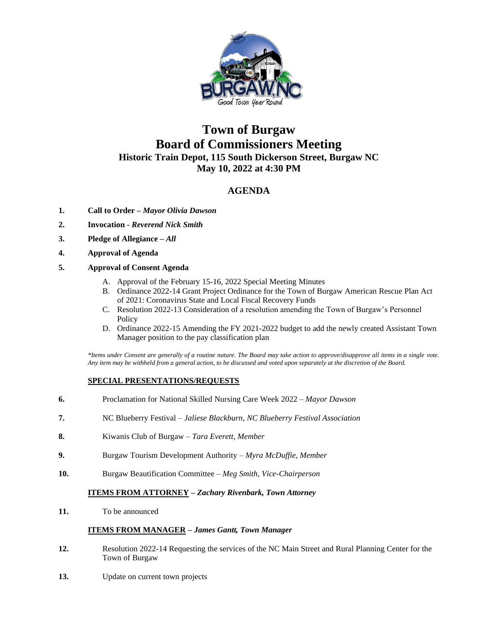

# **Town of Burgaw Board of Commissioners Meeting Historic Train Depot, 115 South Dickerson Street, Burgaw NC May 10, 2022 at 4:30 PM**

# **AGENDA**

- **1. Call to Order –** *Mayor Olivia Dawson*
- **2. Invocation -** *Reverend Nick Smith*
- **3. Pledge of Allegiance** *– All*
- **4. Approval of Agenda**

## **5. Approval of Consent Agenda**

- A. Approval of the February 15-16, 2022 Special Meeting Minutes
- B. Ordinance 2022-14 Grant Project Ordinance for the Town of Burgaw American Rescue Plan Act of 2021: Coronavirus State and Local Fiscal Recovery Funds
- C. Resolution 2022-13 Consideration of a resolution amending the Town of Burgaw's Personnel Policy
- D. Ordinance 2022-15 Amending the FY 2021-2022 budget to add the newly created Assistant Town Manager position to the pay classification plan

*\*Items under Consent are generally of a routine nature. The Board may take action to approve/disapprove all items in a single vote. Any item may be withheld from a general action, to be discussed and voted upon separately at the discretion of the Board.*

## **SPECIAL PRESENTATIONS/REQUESTS**

- **6.** Proclamation for National Skilled Nursing Care Week 2022 *Mayor Dawson*
- **7.** NC Blueberry Festival *Jaliese Blackburn, NC Blueberry Festival Association*
- **8.** Kiwanis Club of Burgaw *Tara Everett, Member*
- **9.** Burgaw Tourism Development Authority *Myra McDuffie, Member*
- **10.** Burgaw Beautification Committee *Meg Smith, Vice-Chairperson*

#### **ITEMS FROM ATTORNEY** *– Zachary Rivenbark, Town Attorney*

**11.** To be announced

#### **ITEMS FROM MANAGER –** *James Gantt, Town Manager*

- **12.** Resolution 2022-14 Requesting the services of the NC Main Street and Rural Planning Center for the Town of Burgaw
- **13.** Update on current town projects